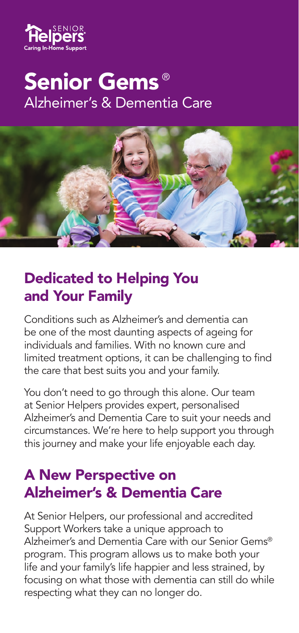

# Senior Gems ®Alzheimer's & Dementia Care



## Dedicated to Helping You and Your Family

Conditions such as Alzheimer's and dementia can be one of the most daunting aspects of ageing for individuals and families. With no known cure and limited treatment options, it can be challenging to find the care that best suits you and your family.

You don't need to go through this alone. Our team at Senior Helpers provides expert, personalised Alzheimer's and Dementia Care to suit your needs and circumstances. We're here to help support you through this journey and make your life enjoyable each day.

#### A New Perspective on Alzheimer's & Dementia Care

At Senior Helpers, our professional and accredited Support Workers take a unique approach to Alzheimer's and Dementia Care with our Senior Gems® program. This program allows us to make both your life and your family's life happier and less strained, by focusing on what those with dementia can still do while respecting what they can no longer do.